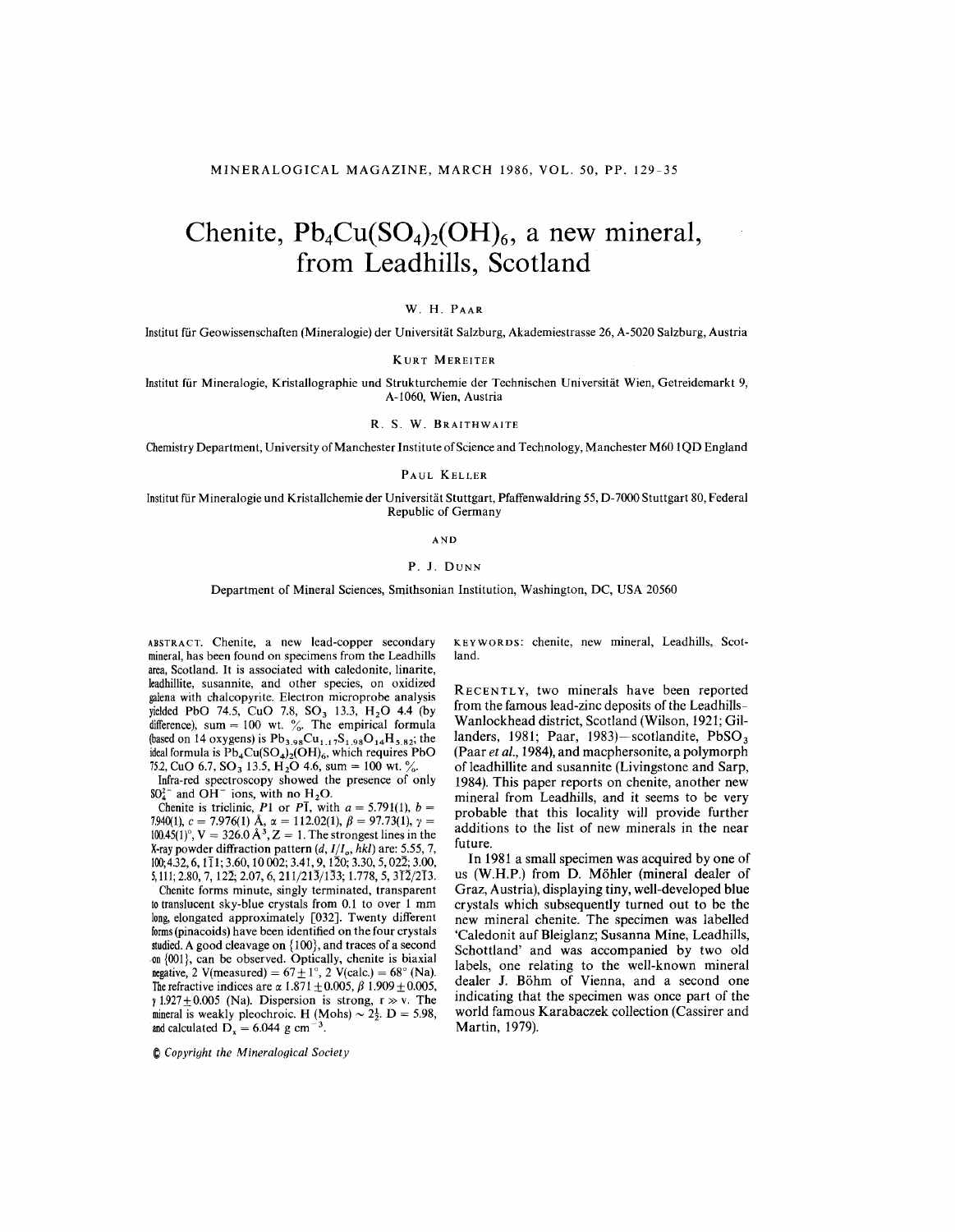# Chenite,  $Pb_4Cu(SO_4)_2(OH)_6$ , a new mineral, **from Leadhills, Scotland**

## W. H. PAAR

Institut *fiir* Geowissenschaften (Mineralogie) der Universitiit Salzburg, Akademiestrasse 26, A-5020 Salzburg, Austria

KURT MEREITER

Institut fiir Mineralogie, Kristallographie und Strukturchemie der Technischen Universitiit Wien, Getreidemarkt 9, A-1060, Wien, Austria

R. S. W. BRAITHWAITE

Chemistry Department, University of Manchester Institute of Science and Technology, Manchester M60 I QD England

#### PAUL KELLER

Institut fiir Mineralogie und Kristallchemie der Universitiit Stuttgart, Pfaffenwaldring 55, D-7000 Stuttgart 80, Federal Republic of Germany

AND

## P. J. DUNN

Department of Mineral Sciences, Smithsonian Institution, Washington, DC, USA 20560

ABSTRACT. Chenite, a new lead-copper secondary mineral, has been found on specimens from the Leadhills area, Scotland. It is associated with caledonite, linarite, leadhillite, susannite, and other species, on oxidized galena with chalcopyrite. Electron microprobe analysis yielded PbO 74.5, CuO 7.8, SO<sub>3</sub> 13.3, H<sub>2</sub>O 4.4 (by difference), sum = 100 wt. %. The empirical formula (based on 14 oxygens) is  $Pb_{3.98}Cu_{1.17}S_{1.98}O_{14}H_{5.82}$ ; the ideal formula is  $\overline{Pb}_4Cu(SO_4)_2(OH)_6$ , which requires PbO 75.2, CuO 6.7, SO<sub>3</sub> 13.5, H<sub>2</sub>O 4.6, sum = 100 wt. %.

Infra-red spectroscopy showed the presence of only  $SO_4^{2-}$  and OH<sup>-</sup> ions, with no H<sub>2</sub>O.

Chenite is triclinic, *P1* or *PI*, with  $a = 5.791(1)$ ,  $b = 0.000(1)$ 7.940(1),  $c = 7.976(1)$  A,  $\alpha = 112.02(1)$ ,  $\beta = 97.73(1)$ ,  $\gamma =$  $100.45(1)$ °,  $V = 326.0 A^3$ ,  $Z = 1$ . The strongest lines in the X-ray powder diffraction pattern *(d, l/lo, hkl)* are: 5.55, 7, 100;4.32,6, III; 3.60,10002; 3.41, 9,120; 3.30, 5, 022; 3.00,  $5,111; 2.80, 7,12\overline{2}; 2.07, 6, 211/21\overline{3}/1\overline{3}3; 1.778, 5, 3\overline{12}/2\overline{13}.$ 

Chenite forms minute, singly terminated, transparent to translucent sky-blue crystals from 0.1 to over 1 mm long, elongated approximately [032]. Twenty different forms(pinacoids) have been identified on the four crystals studied.A good cleavage on {100}, and traces of a second ~n *{DOl},* can be observed. Optically, chenite is biaxial negative, 2 V(measured) =  $67 \pm 1^\circ$ , 2 V(calc.) =  $68^\circ$  (Na). The refractive indices are  $\alpha$  1.871  $\pm$  0.005,  $\beta$  1.909  $\pm$  0.005,  $\gamma$  1.927  $\pm$  0.005 (Na). Dispersion is strong, r  $\gg$  v. The mineral is weakly pleochroic. H (Mohs)  $\sim 2\frac{1}{2}$ . D = 5.98, and calculated  $\overline{D}_x = 6.044$  g cm<sup>-3</sup>.

~ *Copyright the Mineralogical Society*

KEYWORDS: chenite, new mineral, Leadhills, Scotland.

RECENTL Y, two minerals have been reported from the famous lead-zinc deposits of the LeadhilIs-Wanlockhead district, Scotland (Wilson, 1921; Gillanders, 1981; Paar, 1983)-scotlandite,  $PbSO<sub>3</sub>$ (Paar *et aI.,* 1984), and macphersonite, a polymorph of leadhillite and susannite (Livingstone and Sarp, 1984). This paper reports on chenite, another new mineral from Leadhills, and it seems to be very probable that this locality will provide further additions to the list of new minerals in the near future.

**In** 1981 a small specimen was acquired by one of us (W.H.P.) from D. Mohler (mineral dealer of Graz, Austria), displaying tiny, well-developed blue crystals which subsequently turned out to be the new mineral chenite. The specimen was labelled 'Caledonit auf Bleiglanz; Susanna Mine, Leadhills, Schottland' and was accompanied by two old labels, one relating to the well-known mineral dealer J. Bohm of Vienna, and a second one indicating that the specimen was once part of the world famous Karabaczek collection (Cassirer and Martin, 1979).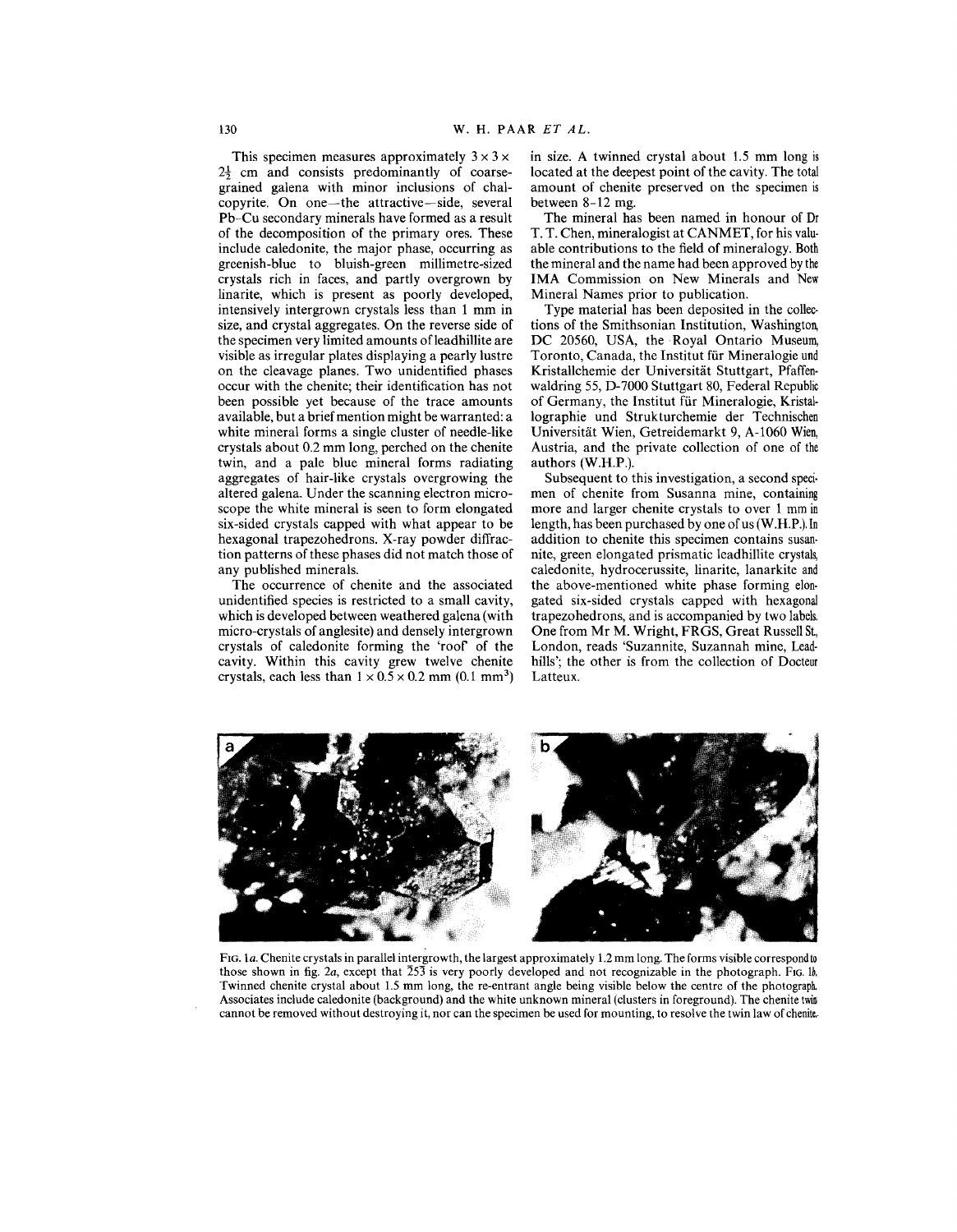This specimen measures approximately  $3 \times 3 \times$  $2\frac{1}{2}$  cm and consists predominantly of coarsegrained galena with minor inclusions of chalcopyrite. On one-the attractive-side, several Pb-Cu secondary minerals have formed as a result of the decomposition of the primary ores. These include caledonite, the major phase, occurring as greenish-blue to bluish-green millimetre-sized crystals rich in faces, and partly overgrown by linarite, which is present as poorly developed, intensively intergrown crystals less than 1 mm in size, and crystal aggregates. On the reverse side of the specimen very limited amounts of leadhillite are visible as irregular plates displaying a pearly lustre on the cleavage planes. Two unidentified phases occur with the chenite; their identification has not been possible yet because of the trace amounts available, but a brief mention might be warranted: a white mineral forms a single cluster of needle-like crystals about 0.2 mm long, perched on the chenite twin, and a pale blue mineral forms radiating aggregates of hair-like crystals overgrowing the altered galena. Under the scanning electron microscope the white mineral is seen to form elongated six-sided crystals capped with what appear to be hexagonal trapezohedrons. X-ray powder diffraction patterns of these phases did not match those of any published minerals.

The occurrence of chenite and the associated unidentified species is restricted to a small cavity, which is developed between weathered galena (with micro-crystals of anglesite) and densely intergrown crystals of caledonite forming the 'rooP of the cavity. Within this cavity grew twelve chenite crystals, each less than  $1 \times 0.5 \times 0.2$  mm (0.1 mm<sup>3</sup>) in size. A twinned crystal about 1.5 mm long is located at the deepest point of the cavity. The total amount of chenite preserved on the specimen is between 8-12 mg.

The mineral has been named in honour of Dr T. T. Chen, mineralogist at CANMET, for his valuable contributions to the field of mineralogy. Both the mineral and the name had been approved by the IMA Commission on New Minerals and New Mineral Names prior to publication.

Type material has been deposited in the collections of the Smithsonian Institution, Washington, DC 20560, USA, the Royal Ontario Museum, Toronto, Canada, the Institut für Mineralogie und Kristallchemie der Universitat Stuttgart, Pfaffenwaldring 55, D-7000 Stuttgart 80, Federal Republic of Germany, the Institut für Mineralogie, Kristallographie und Strukturchemie der Technischen Universitat Wien, Getreidemarkt 9, A-I060 Wien, Austria, and the private collection of one of the authors (W.H.P.).

Subsequent to this investigation, a second speci. men of chenite from Susanna mine, containing more and larger chenite crystals to over 1 mm in length, has been purchased by one of us (W.H.P.).In addition to chenite this specimen contains susan. nite, green elongated prismatic leadhillite crystals, caledonite, hydrocerussite, linarite, lanarkite and the above-mentioned white phase forming elon. gated six-sided crystals capped with hexagonal trapezohedrons, and is accompanied by two labels. One from Mr M. Wright, FRGS, Great Russell St., London, reads 'Suzannite, Suzannah mine, Leadhills'; the other is from the collection of Docteur Latteux.



FIG. 1a. Chenite crystals in parallel intergrowth, the largest approximately 1.2 mm long. The forms visible correspond to those shown in fig. 2a, except that  $\overline{253}$  is very poorly developed and not recognizable in the photograph. FIG. lb. Twinned chenite crystal about 1.5 mm long, the re-entrant angle being visible below the centre of the photograph.. Associates include caledonite (background) and the white unknown mineral (clusters in foreground). The chenite twin, cannot be removed without destroying it, nor can the specimen be used for mounting, to resolve the twin law of chenite..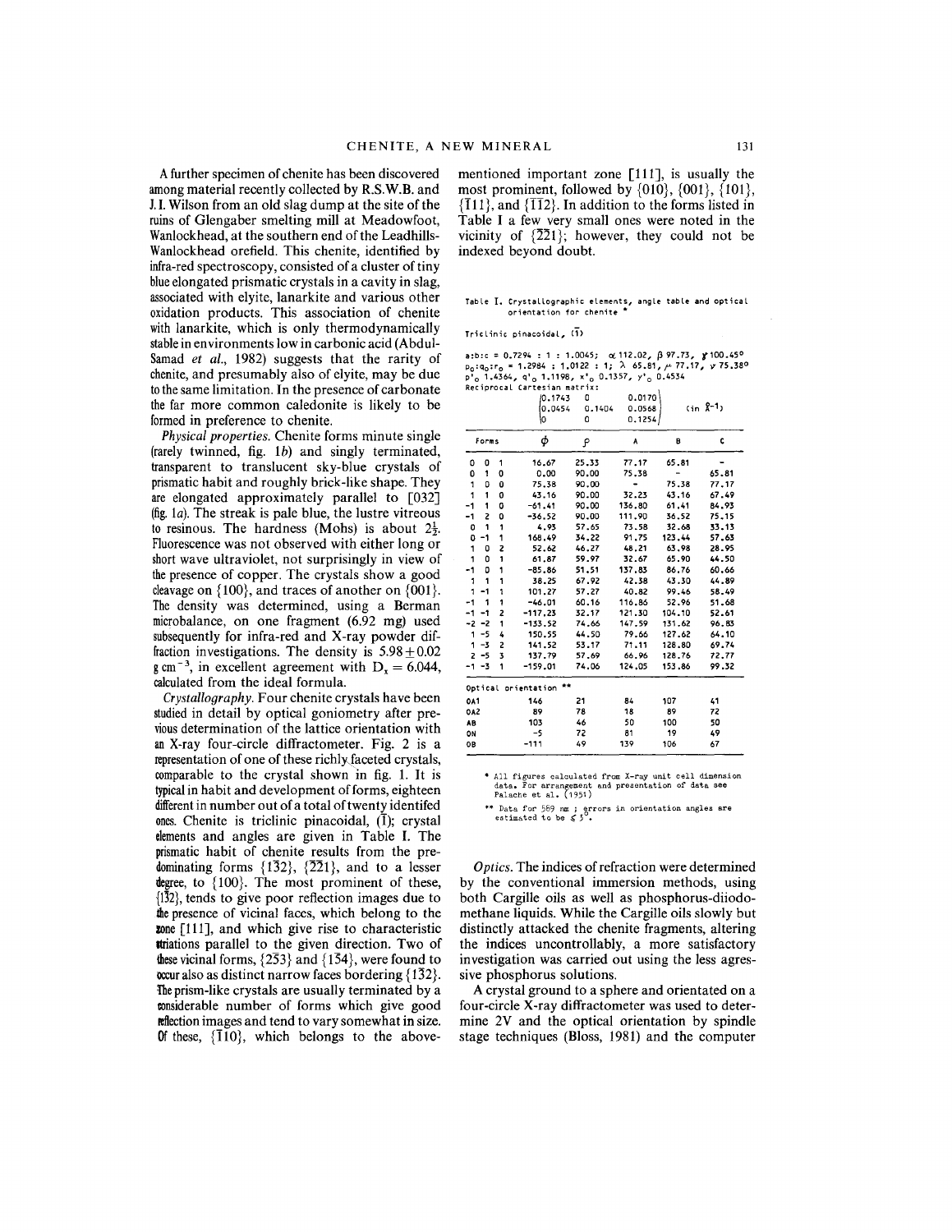Afurther specimen of chenite has been discovered among material recently collected by R.S.W.B. and 1.I.Wilson from an old slag dump at the site of the ruins of Glengaber smelting mill at Meadowfoot, Wanlockhead, at the southern end of the Leadhills-Wanlockhead orefield. This chenite, identified by infra-red spectroscopy, consisted of a cluster of tiny blue elongated prismatic crystals in a cavity in slag, associated with elyite, lanarkite and various other oxidation products. This association of chenite with lanarkite, which is only thermodynamically stable in environments low in carbonic acid (Abdul-Samad *et aI.,* 1982) suggests that the rarity of chenite,and presumably also of elyite, may be due tothe same limitation. In the presence of carbonate the far more common caledonite is likely to be formed in preference to chenite.

*Physical properties.* Chenite forms minute single (rarely twinned, fig.  $1b$ ) and singly terminated, transparent to translucent sky-blue crystals of prismatic habit and roughly brick-like shape. They are elongated approximately parallel to [032] (fig.*la).* The streak is pale blue, the lustre vitreous to resinous. The hardness (Mohs) is about  $2\frac{1}{2}$ . Fluorescence was not observed with either long or short wave ultraviolet, not surprisingly in view of the presence of copper. The crystals show a good cleavage on  $\{100\}$ , and traces of another on  $\{001\}$ . The density was determined, using a Berman microbalance, on one fragment (6.92 mg) used subsequently for infra-red and X-ray powder diffraction investigations. The density is  $5.98 \pm 0.02$ g cm<sup>-3</sup>, in excellent agreement with  $D_x = 6.044$ , calculated from the ideal formula.

*Crystallography.* Four chenite crystals have been studied in detail by optical goniometry after previous determination of the lattice orientation with an X-ray four-circle diffractometer. Fig. 2 is a representation of one of these richly faceted crystals, comparable to the crystal shown in fig. 1. It is typical in habit and development of forms, eighteen differentin number out of a total of twenty identifed ones. Chenite is triclinic pinacoidal,  $(I)$ ; crystal elements and angles are given in Table I. The prismatic habit of chenite results from the predominating forms  $\{1\overline{3}2\}$ ,  $\{\overline{2}21\}$ , and to a lesser degree, to  $\{100\}$ . The most prominent of these,  $\{1\overline{3}2\}$ , tends to give poor reflection images due to the presence of vicinal faces, which belong to the zone [111], and which give rise to characteristic **ttriations** parallel to the given direction. Two of these vicinal forms,  $\{2\overline{5}3\}$  and  $\{1\overline{5}4\}$ , were found to occur also as distinct narrow faces bordering {132}. The prism-like crystals are usually terminated by a oonsiderable number of forms which give good reflection images and tend to vary somewhat in size. Of these,  $\{110\}$ , which belongs to the abovementioned important zone [111], is usually the most prominent, followed by  $\{010\}$ ,  $\{001\}$ ,  $\{101\}$ ,  ${T11}$ , and  ${T2}$ . In addition to the forms listed in Table I a few very small ones were noted in the vicinity of  $\{2\overline{2}1\}$ ; however, they could not be indexed beyond doubt.

Table **I.** Crystallographic elements, angle table and optic<br>orientation for chenite \*

Triclinic pinacoidal, (1)

a:b:c = 0.7294 : 1 : 1.0045; α112.02, β97.73, **}**100.45<br>p<sub>o</sub>:q<sub>o</sub>:r<sub>o</sub> = 1.2984 : 1.0122 : 1; λ 65.81, μ 77.17, γ 75.3<br>p'o 1.4364, q'o 1.1198, x'<sub>o</sub> 0.1357, y'<sub>o</sub> 0.4534<br>Reciprocal Cartesian matrix:

0.1743 0  $0.0170$ 

|                           |         |   | 0.0454<br>10 | 0.1404<br>0 | 0.0568<br>0.1254) |        | $(in \x + 1)$ |  |
|---------------------------|---------|---|--------------|-------------|-------------------|--------|---------------|--|
|                           |         |   |              |             |                   |        |               |  |
| Forms                     |         |   | φ            | م           | A                 | в      | Ċ             |  |
| ٥                         | 0       | 1 | 16.67        | 25.33       | 77.17             | 65.81  |               |  |
| 0                         | 1       | o | 0.00         | 90.00       | 75.38             |        | 65.81         |  |
| 1                         | 0       | 0 | 75.38        | 90.00       |                   | 75.38  | 77.17         |  |
| 1                         | 1       | 0 | 43.16        | 90.00       | 32.23             | 43.16  | 67.49         |  |
| $-1$                      | 1       | 0 | $-61.41$     | 90.00       | 136.80            | 61.41  | 84.93         |  |
| $-1$                      | Z       | 0 | $-36.52$     | 90.00       | 111.90            | 36,52  | 75.15         |  |
| 0                         | 1       | 1 | 4.93         | 57.65       | 73.58             | 32.68  | 33.13         |  |
| O                         | -1      | 1 | 168.49       | 34.22       | 91.75             | 123.44 | 57.63         |  |
| 1                         | 0       | Z | 52.62        | 46.27       | 48.21             | 63.98  | 28.95         |  |
| 1                         | 0       | 1 | 61.87        | 59.97       | 32.67             | 65.90  | 44.50         |  |
| -1                        | ٥       | 1 | $-85.86$     | 51,51       | 137.83            | 86,76  | 60.66         |  |
| 1                         | 1       | 1 | 38.25        | 67.92       | 42.38             | 43.30  | 44.89         |  |
| 1                         | $-1$    | 1 | 101.27       | 57.27       | 40.82             | 99.46  | 58.49         |  |
| $-1$                      | 1       | 1 | $-46.01$     | 60.16       | 116.86            | 52.96  | 51.68         |  |
| $-1$                      | $-1$    | 2 | $-117.23$    | 32.17       | 121.30            | 104.10 | 52.61         |  |
| $-2 -2$                   |         | 1 | $-133.52$    | 74.66       | 147.59            | 131.62 | 96.83         |  |
|                           | $1 - 5$ | 4 | 150.55       | 44.50       | 79.66             | 127.62 | 64.10         |  |
|                           | $1 - 3$ | 2 | 141.52       | 53.17       | 71.11             | 128.80 | 69.74         |  |
|                           | $2 - 5$ | 3 | 137.79       | 57,69       | 66.96             | 128.76 | 72.77         |  |
| $-1 -3$                   |         | 1 | $-159.01$    | 74.06       | 124.05            | 153.86 | 99.32         |  |
| 大女<br>Optical prientation |         |   |              |             |                   |        |               |  |
| <b>0A1</b>                |         |   | 146          | 21          | 84                | 107    | 41            |  |
| 0A2                       |         |   | 89           | 78          | 18                | 89     | 72            |  |
| AB                        |         |   | 103          | 46          | 50                | 100    | 50            |  |
| ON                        |         |   | -5           | 72          | 81                | 19     | 49            |  |
| OB                        |         |   | $-111$       | 49          | 139               | 106    | 67            |  |

\* All figures calculated from X-ray unit cell dimension<br>data. For arrangement and presentation of data see<br>Palache et al. (1951)

\*\* Data for 589 nm; errors in orientation angles are<br>estimated to be  $\leq 3^\circ$ .

*Optics.* The indices of refraction were determined by the conventional immersion methods, using both Cargille oils as well as phosphorus-diiodomethane liquids. While the Cargille oils slowly but distinctly attacked the chenite fragments, altering the indices uncontrollably, a more satisfactory investigation was carried out using the less agressive phosphorus solutions.

A crystal ground to a sphere and orientated on a four-circle X-ray diffractometer was used to determine 2V and the optical orientation by spindle stage techniques (Bloss, 1981) and the computer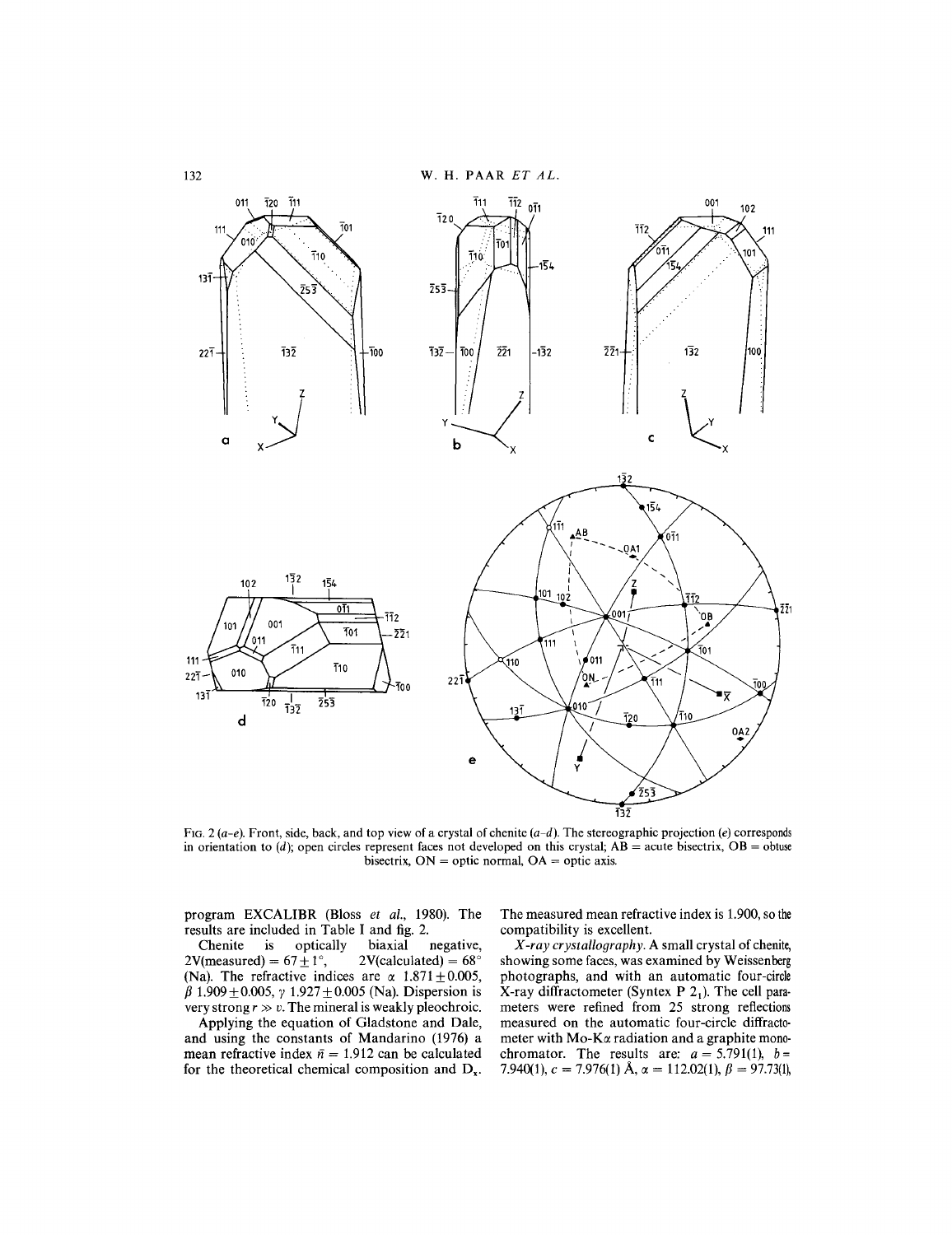

FIG. 2 *(a-e).* Front, side, back, and top view of a crystal of chenite *(a-d).* The stereographic projection *(e)* corresponds in orientation to  $(d)$ ; open circles represent faces not developed on this crystal;  $AB$  = acute bisectrix,  $OB$  = obtuse bisectrix,  $ON =$  optic normal,  $OA =$  optic axis.

program EXCALIBR (Bloss *et al.,* 1980). The results are included in Table I and fig. 2.<br>Chenite is optically biaxial

is optically biaxial negative,<br>d) =  $67+1^{\circ}$ , 2V(calculated) =  $68^{\circ}$ 2V(measured) =  $67 \pm 1^\circ$ , (Na). The refractive indices are  $\alpha$  1.871  $\pm$  0.005,  $\beta$  1.909  $\pm$  0.005,  $\gamma$  1.927  $\pm$  0.005 (Na). Dispersion is very strong  $r \gg v$ . The mineral is weakly pleochroic.

Applying the equation of Gladstone and Dale, and using the constants of Mandarino (1976) a mean refractive index  $\bar{n} = 1.912$  can be calculated for the theoretical chemical composition and  $D_x$ .

The measured mean refractive index is 1.900, so the compatibility is excellent.

X *-ray crystallography.* A small crystal of chenite, showing some faces, was examined by Weissenberg photographs, and with an automatic four-circle X-ray diffractometer (Syntex P  $2<sub>1</sub>$ ). The cell parameters were refined from 25 strong reflections measured on the automatic four-circle diffracto. meter with  $Mo-K\alpha$  radiation and a graphite monochromator. The results are:  $a = 5.791(1), b = 0.00(1)$ 7.940(1),  $c = 7.976(1)$  Å,  $\alpha = 112.02(1)$ ,  $\beta = 97.73(1)$ ,

132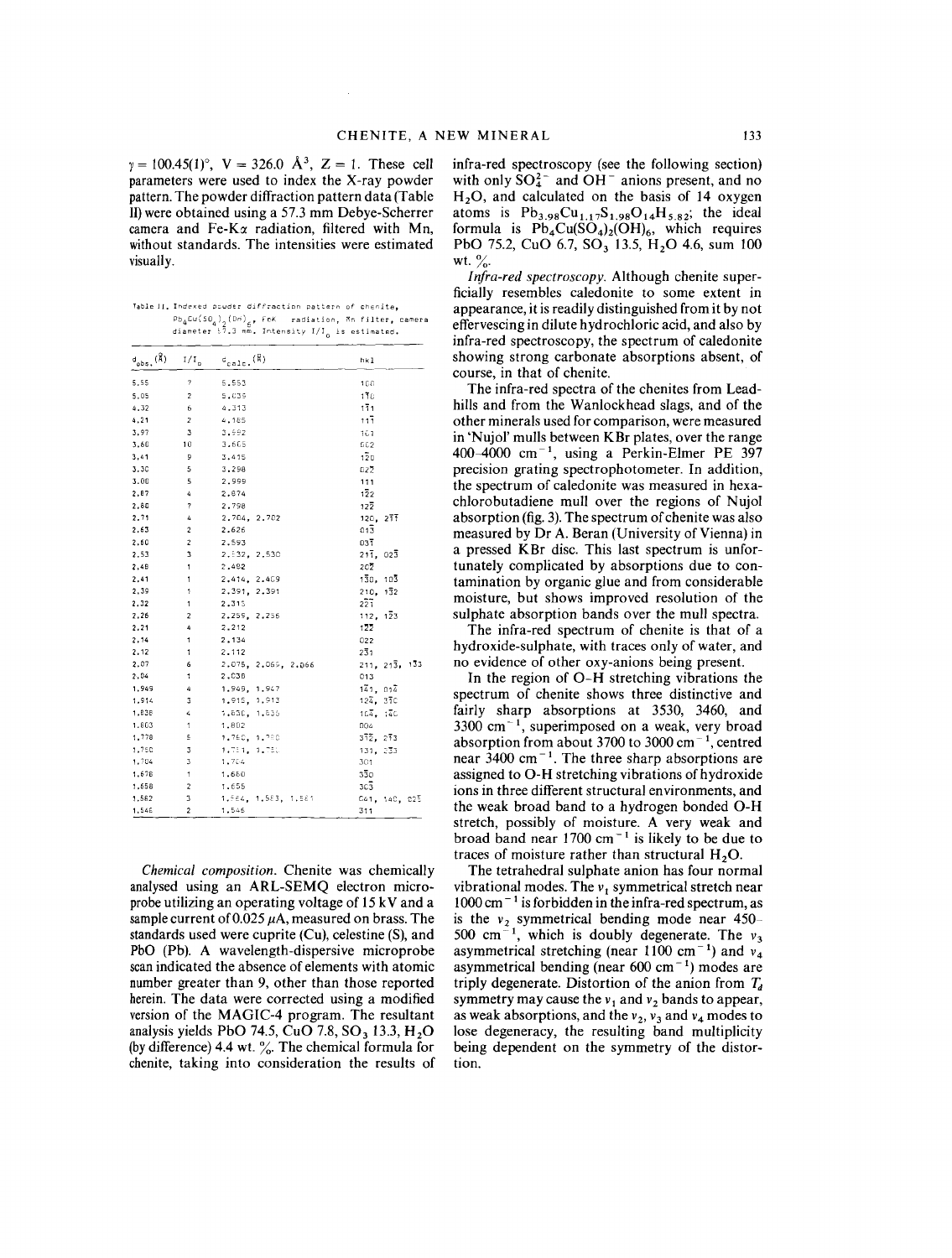$\gamma = 100.45(1)^\circ$ ,  $V = 326.0$   $\AA^3$ ,  $Z = 1$ . These cell parameters were used to index the X-ray powder pattern. The powder diffraction pattern data (Table II)were obtained using a 57.3 mm Debye-Scherrer camera and Fe-K $\alpha$  radiation, filtered with Mn, without standards. The intensities were estimated visually.

Table II. Indexed pouder diffraction pattern of chenita, Pb<sub>4</sub>Cu{SO<sub>4</sub>)<sub>2</sub>(Uri<sub>)6</sub>, FeK – radiation, Mn filter, came<br>diameter 57.3 mm. Intensity I/I<sub>n</sub> is estimated.

| $d_{obs}$ ( $\AA$ ) | $\rm {I/I}_0$           | $e_{\text{calc.}}(\text{\AA})$ | hk 1              |
|---------------------|-------------------------|--------------------------------|-------------------|
| 5.55                | 7                       | 5.553                          | 100               |
| 5.05                | 2                       | 5.039                          | 170               |
| 4,32                | 6                       | 4.313                          | 111               |
| 4, 21               | 2                       | 4,185                          | 111               |
| 3,97                | 3                       | 3,992                          | 161               |
| 3,60                | 10                      | 3.605                          | GC2               |
| 3.41                | 9                       | 3.415                          | $1\overline{2}0$  |
| 3.30                | 5                       | 3,298                          | 022               |
| 3.00                | 5                       | 2,999                          | 111               |
| 2.87                | 4                       | 2.874                          | $1\overline{2}2$  |
| 2,80                | 7                       | 2,798                          | $12\overline{2}$  |
| 2.71                | 4                       | 2.704, 2.702                   | 120, 277          |
| 2,63                | 2                       | 2.626                          | $01\overline{3}$  |
| 2.60                | $\overline{\mathbf{c}}$ | 2.593                          | 037               |
| 2.53                | 3                       | 2.532. 2.530                   | 211,023           |
| 2,48                | 1                       | 2.482                          | $2c\overline{2}$  |
| 2,41                | 1                       | 2.414, 2.409                   | 130.103           |
| 2,39                | 1                       | 2.391, 2.391                   | 210.132           |
| 2,32                | 1                       | 2,315                          | $2\bar{2}\bar{1}$ |
| 2,26                | $\overline{\mathbf{c}}$ | 2.259. 2.256                   | 112, 123          |
| 2.21                | 4                       | 2.212                          | 122               |
| 2.14                | 1                       | 2,134                          | 022               |
| 2.12                | 1                       | 2.112                          | 231               |
| 2.07                | 6                       | 2.075, 2.055, 2.066            | 211, 213, 133     |
| 2.04                | 1                       | 2.C3B                          | 013               |
| 1,949               | 4                       | 1.949, 1.947                   | 141, 014          |
| 1,914               | 3                       | 1,915, 1,913                   | 124, 370          |
| 1,836               | 4                       | 1,83E, 1,835                   | 104. 140          |
| 1,803               | $\mathbf{1}$            | 1,802                          | 004               |
| 1,778               | s                       | 1.760, 1.780                   | 372. 273          |
| 1.750               | 3                       | 1,731, 1,780                   | 131, 233          |
| 1.704               | 3                       | 1,704                          | 301               |
| 1,678               | 1                       | 1,650                          | 330               |
| 1,658               | 2                       | 1.655                          | $3c\bar{3}$       |
| 1,582               | 3                       | 1,564, 1,583, 1,581            | C41, 140, C25     |
| 1,548               | 2                       | 1.546                          | 311               |

*Chemical composition.* Chenite was chemically analysed using an ARL-SEMQ electron microprobe utilizing an operating voltage of 15 kV and a sample current of  $0.025 \mu A$ , measured on brass. The standards used were cuprite (Cu), celestine (8), and PbO (Pb). A wavelength-dispersive microprobe scanindicated the absence of elements with atomic number greater than 9, other than those reported herein. The data were corrected using a modified version of the MAGIC-4 program. The resultant analysis yields PbO 74.5, CuO 7.8, SO<sub>3</sub> 13.3, H<sub>2</sub>O (by difference) 4.4 wt.  $\frac{9}{6}$ . The chemical formula for chenite, taking into consideration the results of infra-red spectroscopy (see the following section) with only  $SO_4^{2-}$  and  $OH^-$  anions present, and no H20, and calculated on the basis of 14 oxygen atoms is  $Pb_{3.98}Cu_{1.17}S_{1.98}O_{14}H_{5.82}$ ; the ideal formula is  $Pb_4Cu(SO_4)_2(OH)_6$ , which requires PbO 75.2, CuO 6.7, SO<sub>3</sub> 13.5, H<sub>2</sub>O 4.6, sum 100 wt.  $\frac{9}{6}$ .

*Infra-red spectroscopy.* Although chenite superficially resembles caledonite to some extent in appearance, it is readily distinguished from it by not effervescing in dilute hydrochloric acid, and also by infra-red spectroscopy, the spectrum of caledonite showing strong carbonate absorptions absent, of course, in that of chenite.

The infra-red spectra of the chenites from Leadhills and from the Wanlockhead slags, and of the other minerals used for comparison, were measured in 'NujoI' mulls between KBr plates, over the range  $400-4000$  cm<sup>-1</sup>, using a Perkin-Elmer PE 397 precision grating spectrophotometer. In addition, the spectrum of caledonite was measured in hexachlorobutadiene mull over the regions of Nujol absorption (fig. 3).The spectrum of chenite was also measured by Dr A. Beran (University of Vienna) in a pressed KBr disc. This last spectrum is unfortunately complicated by absorptions due to contamination by organic glue and from considerable moisture, but shows improved resolution of the sulphate absorption bands over the mull spectra.

The infra-red spectrum of chenite is that of a hydroxide-sulphate, with traces only of water, and no evidence of other oxy-anions being present.

In the region of O-H stretching vibrations the spectrum of chenite shows three distinctive and fairly sharp absorptions at 3530, 3460, and  $3300 \text{ cm}^{-1}$ , superimposed on a weak, very broad absorption from about 3700 to 3000 cm<sup>-1</sup>, centred near  $3400 \text{ cm}^{-1}$ . The three sharp absorptions are assigned to O-H stretching vibrations of hydroxide ions in three different structural environments, and the weak broad band to a hydrogen bonded O-H stretch, possibly of moisture. A very weak and broad band near  $1700 \text{ cm}^{-1}$  is likely to be due to traces of moisture rather than structural  $H<sub>2</sub>O$ .

The tetrahedral sulphate anion has four normal vibrational modes. The  $v_1$  symmetrical stretch near  $1000 \text{ cm}^{-1}$  is forbidden in the infra-red spectrum, as is the  $v_2$  symmetrical bending mode near  $450$ -500 cm<sup> $-1$ </sup>, which is doubly degenerate. The  $v_3$ asymmetrical stretching (near  $1100 \text{ cm}^{-1}$ ) and  $v_4$ asymmetrical bending (near  $600 \text{ cm}^{-1}$ ) modes are triply degenerate. Distortion of the anion from  $T_d$ symmetry may cause the  $v_1$  and  $v_2$  bands to appear, as weak absorptions, and the  $v_2$ ,  $v_3$  and  $v_4$  modes to lose degeneracy, the resulting band multiplicity being dependent on the symmetry of the distortion.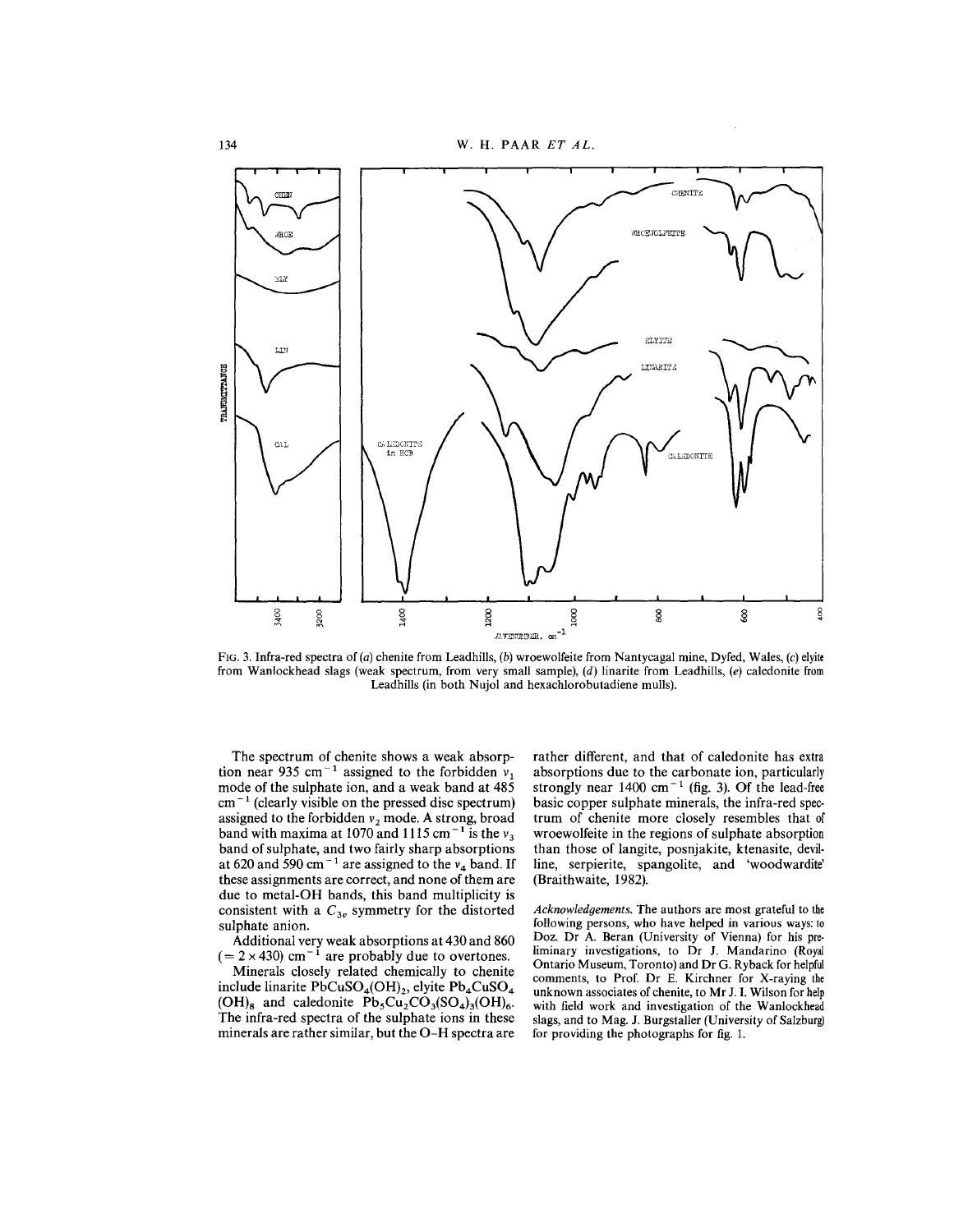

FIG. 3. Infra-red spectra of *(a)* chenite from Leadhills, *(b)* wroewolfeite from Nantycagal mine, Dyfed, Wales, *(c)* elyite from Wanlockhead slags (weak spectrum, from very small sample), *(d)* linarite from Leadhills, *(e)* caledonite from Leadhills (in both Nujol and hexachlorobutadiene mulls).

The spectrum of chenite shows a weak absorption near 935 cm<sup>-1</sup> assigned to the forbidden  $v_1$ mode of the sulphate ion, and a weak band at 485  $cm^{-1}$  (clearly visible on the pressed disc spectrum) assigned to the forbidden  $v_2$  mode. A strong, broad band with maxima at 1070 and 1115 cm<sup>-1</sup> is the  $v_3$ band of sulphate, and two fairly sharp absorptions at 620 and 590 cm<sup> $-1$ </sup> are assigned to the  $v_4$  band. If these assignments are correct, and none of them are due to metal-OH bands, this band multiplicity is consistent with a  $C_{3v}$  symmetry for the distorted sulphate anion.

Additional very weak absorptions at 430 and 860  $(= 2 \times 430)$  cm<sup>-1</sup> are probably due to overtones.

Minerals closely related chemically to chenite include linarite PbCuSO<sub>4</sub>(OH)<sub>2</sub>, elyite Pb<sub>4</sub>CuSO<sub>4</sub>  $(OH)_{8}$  and caledonite  $Pb_{5}Cu_{2}CO_{3}(SO_{4})_{3}(OH)_{6}$ . The infra-red spectra of the sulphate ions in these minerals are rather similar, but the O-H spectra are rather different, and that of caledonite has extra absorptions due to the carbonate ion, particularly strongly near  $1400 \text{ cm}^{-1}$  (fig. 3). Of the lead-free basic copper sulphate minerals, the infra-red spectrum of chenite more closely resembles that of wroewolfeite in the regions of sulphate absorption than those of langite, posnjakite, ktenasite, devilline, serpierite, spangolite, and 'woodwardite' (Braithwaite, 1982).

*Acknowledgements.* The authors are most grateful to the following persons, who have helped in various ways: to Doz. Dr A. Beran (University of Vienna) for his preliminary investigations, to Dr J. Mandarino (Royal Ontario Museum, Toronto) and Dr G. Ryback for helpful comments, to Prof. Dr E. Kirchner for X-raying the unknown associates of chenite, to Mr 1. I. Wilson for help with field work and investigation of the Wanlockhead slags, and to Mag. J. Burgstaller (University of Salzburg) for providing the photographs for fig. 1.

134